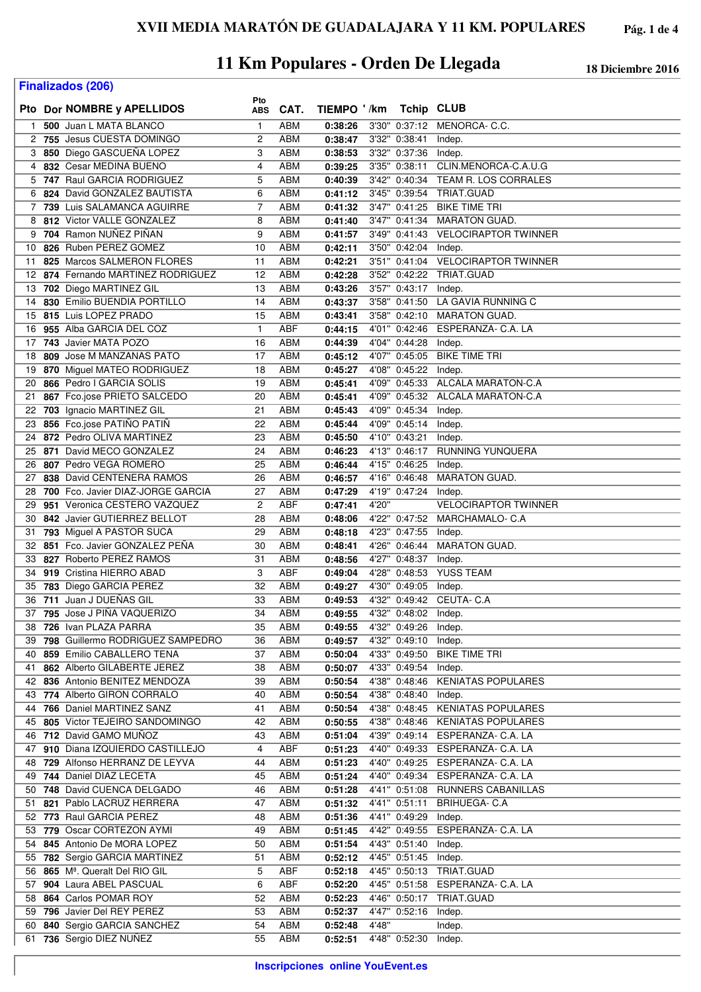| <b>Finalizados (206)</b> |  |                                                                      |                      |                          |                    |       |                                |                                       |
|--------------------------|--|----------------------------------------------------------------------|----------------------|--------------------------|--------------------|-------|--------------------------------|---------------------------------------|
|                          |  | Pto Dor NOMBRE y APELLIDOS                                           | Pto<br><b>ABS</b>    | CAT.                     | TIEMPO '/km        |       | <b>Tchip CLUB</b>              |                                       |
| 1.                       |  | 500 Juan L MATA BLANCO                                               | $\mathbf{1}$         | <b>ABM</b>               | 0:38:26            |       |                                | 3'30" 0:37:12 MENORCA-C.C.            |
|                          |  | 2 755 Jesus CUESTA DOMINGO                                           | 2                    | <b>ABM</b>               | 0:38:47            |       | 3'32" 0:38:41                  | Indep.                                |
| 3                        |  | 850 Diego GASCUEÑA LOPEZ                                             | 3                    | ABM                      | 0:38:53            |       | 3'32" 0:37:36                  | Indep.                                |
| 4                        |  | 832 Cesar MEDINA BUENO                                               | $\overline{4}$       | <b>ABM</b>               | 0:39:25            |       | 3'35" 0:38:11                  | CLIN.MENORCA-C.A.U.G                  |
|                          |  | 5 747 Raul GARCIA RODRIGUEZ                                          | 5                    | ABM                      | 0:40:39            |       |                                | 3'42" 0:40:34 TEAM R. LOS CORRALES    |
| 6                        |  | 824 David GONZALEZ BAUTISTA                                          | 6                    | ABM                      | 0:41:12            |       |                                | 3'45" 0:39:54 TRIAT.GUAD              |
| 7                        |  | 739 Luis SALAMANCA AGUIRRE                                           | $\overline{7}$       | ABM                      | 0:41:32            |       | 3'47" 0:41:25                  | <b>BIKE TIME TRI</b>                  |
| 8                        |  | 812 Victor VALLE GONZALEZ                                            | 8                    | <b>ABM</b>               | 0:41:40            |       |                                | 3'47" 0:41:34 MARATON GUAD.           |
| 9                        |  | 704 Ramon NUÑEZ PIÑAN                                                | 9                    | ABM                      | 0:41:57            |       |                                | 3'49" 0:41:43 VELOCIRAPTOR TWINNER    |
| 10                       |  | 826 Ruben PEREZ GOMEZ                                                | 10                   | <b>ABM</b>               | 0:42:11            |       | 3'50" 0:42:04 Indep.           |                                       |
| 11                       |  | 825 Marcos SALMERON FLORES                                           | 11                   | <b>ABM</b>               | 0:42:21            |       |                                | 3'51" 0:41:04 VELOCIRAPTOR TWINNER    |
|                          |  | 12 874 Fernando MARTINEZ RODRIGUEZ                                   | 12                   | ABM                      | 0:42:28            |       |                                | 3'52" 0:42:22 TRIAT.GUAD              |
| 13<br>14                 |  | 702 Diego MARTINEZ GIL<br>830 Emilio BUENDIA PORTILLO                | 13<br>14             | ABM<br><b>ABM</b>        | 0:43:26<br>0:43:37 |       | 3'57" 0:43:17 Indep.           | 3'58" 0:41:50 LA GAVIA RUNNING C      |
| 15                       |  | 815 Luis LOPEZ PRADO                                                 | 15                   | ABM                      | 0:43:41            |       |                                | 3'58" 0:42:10 MARATON GUAD.           |
| 16                       |  | 955 Alba GARCIA DEL COZ                                              | $\mathbf{1}$         | <b>ABF</b>               | 0:44:15            |       | 4'01" 0:42:46                  | ESPERANZA- C.A. LA                    |
| 17                       |  | 743 Javier MATA POZO                                                 | 16                   | ABM                      | 0:44:39            |       | 4'04" 0:44:28                  | Indep.                                |
| 18                       |  | 809 Jose M MANZANAS PATO                                             | 17                   | ABM                      | 0:45:12            |       | 4'07" 0:45:05                  | <b>BIKE TIME TRI</b>                  |
| 19                       |  | 870 Miguel MATEO RODRIGUEZ                                           | 18                   | ABM                      | 0:45:27            |       | 4'08" 0:45:22                  | Indep.                                |
| 20                       |  | 866 Pedro I GARCIA SOLIS                                             | 19                   | <b>ABM</b>               | 0:45:41            |       |                                | 4'09" 0:45:33 ALCALA MARATON-C.A      |
| 21                       |  | 867 Fco.jose PRIETO SALCEDO                                          | 20                   | ABM                      | 0:45:41            |       |                                | 4'09" 0:45:32 ALCALA MARATON-C.A      |
| 22                       |  | 703 Ignacio MARTINEZ GIL                                             | 21                   | <b>ABM</b>               | 0:45:43            |       | 4'09" 0:45:34                  | Indep.                                |
| 23                       |  | 856 Fco.jose PATIÑO PATIÑ                                            | 22                   | <b>ABM</b>               | 0:45:44            |       | 4'09" 0:45:14                  | Indep.                                |
| 24                       |  | 872 Pedro OLIVA MARTINEZ                                             | 23                   | <b>ABM</b>               | 0:45:50            |       | 4'10" 0:43:21                  | Indep.                                |
|                          |  | 25 871 David MECO GONZALEZ                                           | 24                   | <b>ABM</b>               | 0:46:23            |       | 4'13" 0:46:17                  | RUNNING YUNQUERA                      |
|                          |  | 26 807 Pedro VEGA ROMERO                                             | 25                   | <b>ABM</b>               | 0:46:44            |       | 4'15" 0:46:25                  | Indep.                                |
|                          |  | 27 838 David CENTENERA RAMOS                                         | 26                   | ABM                      | 0:46:57            |       | 4'16" 0:46:48                  | <b>MARATON GUAD.</b>                  |
| 29                       |  | 28 700 Fco. Javier DIAZ-JORGE GARCIA<br>951 Veronica CESTERO VAZQUEZ | 27<br>$\overline{c}$ | ABM<br><b>ABF</b>        | 0:47:29<br>0:47:41 | 4'20" | 4'19" 0:47:24                  | Indep.<br><b>VELOCIRAPTOR TWINNER</b> |
| 30                       |  | 842 Javier GUTIERREZ BELLOT                                          | 28                   | ABM                      | 0:48:06            |       | 4'22" 0:47:52                  | MARCHAMALO- C.A                       |
| 31                       |  | 793 Miguel A PASTOR SUCA                                             | 29                   | ABM                      | 0:48:18            |       | 4'23" 0:47:55                  | Indep.                                |
| 32                       |  | 851 Fco. Javier GONZALEZ PEÑA                                        | 30                   | <b>ABM</b>               | 0:48:41            |       | 4'26" 0:46:44                  | <b>MARATON GUAD.</b>                  |
| 33                       |  | 827 Roberto PEREZ RAMOS                                              | 31                   | ABM                      | 0:48:56            |       | 4'27" 0:48:37                  | Indep.                                |
| 34                       |  | 919 Cristina HIERRO ABAD                                             | 3                    | ABF                      | 0:49:04            |       | 4'28" 0:48:53                  | <b>YUSS TEAM</b>                      |
| 35                       |  | 783 Diego GARCIA PEREZ                                               | 32                   | <b>ABM</b>               | 0:49:27            |       | 4'30" 0:49:05                  | Indep.                                |
| 36                       |  | 711 Juan J DUEÑAS GIL                                                | 33                   | ABM                      | 0:49:53            |       |                                | 4'32" 0:49:42 CEUTA- C.A              |
|                          |  | 37 795 Jose J PIÑA VAQUERIZO                                         | 34                   | <b>ABM</b>               | 0:49:55            |       | 4'32" 0:48:02 Indep.           |                                       |
|                          |  | 38 726 Ivan PLAZA PARRA                                              | 35                   | <b>ABM</b>               | 0:49:55            |       | 4'32" 0:49:26                  | Indep.                                |
|                          |  | 39 798 Guillermo RODRIGUEZ SAMPEDRO                                  | 36                   | <b>ABM</b>               | 0:49:57            |       | 4'32" 0:49:10 Indep.           |                                       |
| 40<br>41                 |  | 859 Emilio CABALLERO TENA<br>862 Alberto GILABERTE JEREZ             | 37<br>38             | <b>ABM</b><br><b>ABM</b> | 0:50:04<br>0:50:07 |       | 4'33" 0:49:50<br>4'33" 0:49:54 | <b>BIKE TIME TRI</b>                  |
|                          |  | 42 836 Antonio BENITEZ MENDOZA                                       | 39                   | ABM                      | 0:50:54            |       | 4'38" 0:48:46                  | Indep.<br><b>KENIATAS POPULARES</b>   |
|                          |  | 43 774 Alberto GIRON CORRALO                                         | 40                   | <b>ABM</b>               | 0:50:54            |       | 4'38" 0:48:40                  | Indep.                                |
|                          |  | 44 766 Daniel MARTINEZ SANZ                                          | 41                   | ABM                      | 0:50:54            |       |                                | 4'38" 0:48:45 KENIATAS POPULARES      |
| 45                       |  | 805 Victor TEJEIRO SANDOMINGO                                        | 42                   | <b>ABM</b>               | 0:50:55            |       |                                | 4'38" 0:48:46 KENIATAS POPULARES      |
|                          |  | 46 712 David GAMO MUÑOZ                                              | 43                   | <b>ABM</b>               | 0:51:04            |       |                                | 4'39" 0:49:14 ESPERANZA- C.A. LA      |
|                          |  | 47 910 Diana IZQUIERDO CASTILLEJO                                    | 4                    | ABF                      | 0:51:23            |       |                                | 4'40" 0:49:33 ESPERANZA- C.A. LA      |
|                          |  | 48 729 Alfonso HERRANZ DE LEYVA                                      | 44                   | <b>ABM</b>               | 0:51:23            |       |                                | 4'40" 0:49:25 ESPERANZA- C.A. LA      |
|                          |  | 49 744 Daniel DIAZ LECETA                                            | 45                   | <b>ABM</b>               | 0:51:24            |       |                                | 4'40" 0:49:34 ESPERANZA- C.A. LA      |
|                          |  | 50 748 David CUENCA DELGADO                                          | 46                   | <b>ABM</b>               | 0:51:28            |       |                                | 4'41" 0:51:08 RUNNERS CABANILLAS      |
|                          |  | 51 821 Pablo LACRUZ HERRERA                                          | 47                   | <b>ABM</b>               | 0:51:32            |       |                                | 4'41" 0:51:11 BRIHUEGA- C.A           |
|                          |  | 52 773 Raul GARCIA PEREZ<br>53 779 Oscar CORTEZON AYMI               | 48                   | <b>ABM</b>               | 0:51:36            |       | 4'41" 0:49:29                  | Indep.                                |
|                          |  | 54 845 Antonio De MORA LOPEZ                                         | 49<br>50             | <b>ABM</b><br><b>ABM</b> | 0:51:45<br>0:51:54 |       | 4'42" 0:49:55<br>4'43" 0:51:40 | ESPERANZA- C.A. LA<br>Indep.          |
| 55                       |  | 782 Sergio GARCIA MARTINEZ                                           | 51                   | ABM                      | 0:52:12            |       | 4'45" 0:51:45                  | Indep.                                |
|                          |  | 56 865 M <sup>ª</sup> . Queralt Del RIO GIL                          | 5                    | ABF                      | 0:52:18            |       |                                | 4'45" 0:50:13 TRIAT.GUAD              |
| 57                       |  | 904 Laura ABEL PASCUAL                                               | 6                    | ABF                      | 0:52:20            |       |                                | 4'45" 0:51:58 ESPERANZA- C.A. LA      |
|                          |  | 58 864 Carlos POMAR ROY                                              | 52                   | <b>ABM</b>               | 0:52:23            |       |                                | 4'46" 0:50:17 TRIAT.GUAD              |
|                          |  | 59 796 Javier Del REY PEREZ                                          | 53                   | <b>ABM</b>               | 0:52:37            |       | 4'47" 0:52:16 Indep.           |                                       |
|                          |  | 60 840 Sergio GARCIA SANCHEZ                                         | 54                   | ABM                      | 0:52:48            | 4'48" |                                | Indep.                                |
|                          |  | 61 736 Sergio DIEZ NUÑEZ                                             | 55                   | ABM                      | 0:52:51            |       | 4'48" 0:52:30 Indep.           |                                       |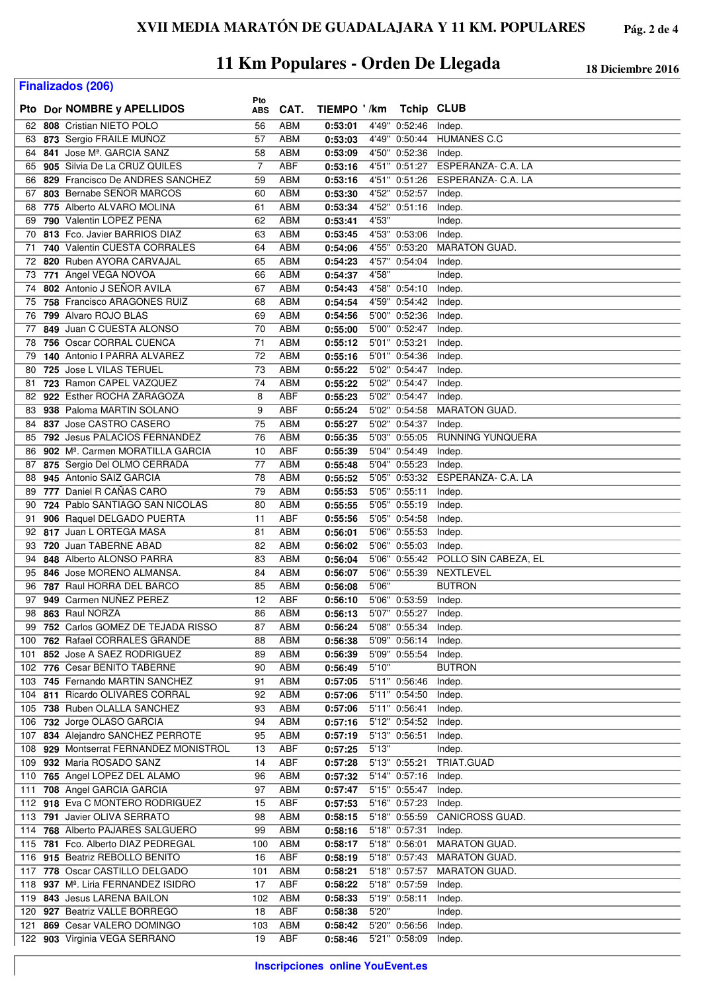**Finalizados (206)**

|     |                                              | Pto            |            |             |       |               |                                  |
|-----|----------------------------------------------|----------------|------------|-------------|-------|---------------|----------------------------------|
|     | Pto Dor NOMBRE y APELLIDOS                   | ABS            | CAT.       | TIEMPO '/km |       | Tchip CLUB    |                                  |
| 62  | 808 Cristian NIETO POLO                      | 56             | ABM        | 0:53:01     |       | 4'49" 0:52:46 | Indep.                           |
|     |                                              |                |            |             |       |               | <b>HUMANES C.C</b>               |
| 63  | 873 Sergio FRAILE MUÑOZ                      | 57             | ABM        | 0:53:03     |       | 4'49" 0:50:44 |                                  |
| 64  | 841 Jose M <sup>a</sup> . GARCIA SANZ        | 58             | ABM        | 0:53:09     |       | 4'50" 0:52:36 | Indep.                           |
| 65  | 905 Silvia De La CRUZ QUILES                 | $\overline{7}$ | <b>ABF</b> | 0:53:16     |       |               | 4'51" 0:51:27 ESPERANZA- C.A. LA |
| 66  | 829 Francisco De ANDRES SANCHEZ              | 59             | ABM        | 0:53:16     |       | 4'51" 0:51:26 | ESPERANZA- C.A. LA               |
| 67  | 803 Bernabe SENOR MARCOS                     | 60             | ABM        | 0:53:30     |       | 4'52" 0:52:57 | Indep.                           |
| 68  | 775 Alberto ALVARO MOLINA                    | 61             | ABM        | 0:53:34     |       | 4'52" 0:51:16 | Indep.                           |
|     |                                              | 62             |            |             |       |               |                                  |
| 69  | 790 Valentin LOPEZ PENA                      |                | ABM        | 0:53:41     | 4'53" |               | Indep.                           |
| 70  | 813 Fco. Javier BARRIOS DIAZ                 | 63             | ABM        | 0:53:45     |       | 4'53" 0:53:06 | Indep.                           |
| 71  | 740 Valentin CUESTA CORRALES                 | 64             | ABM        | 0:54:06     |       | 4'55" 0:53:20 | <b>MARATON GUAD.</b>             |
| 72  | 820 Ruben AYORA CARVAJAL                     | 65             | ABM        | 0:54:23     |       | 4'57" 0:54:04 | Indep.                           |
| 73  | 771 Angel VEGA NOVOA                         | 66             | ABM        | 0:54:37     | 4'58" |               | Indep.                           |
| 74  | 802 Antonio J SENOR AVILA                    | 67             | ABM        | 0:54:43     |       | 4'58" 0:54:10 | Indep.                           |
| 75  | 758 Francisco ARAGONES RUIZ                  | 68             | ABM        | 0:54:54     |       | 4'59" 0:54:42 | Indep.                           |
| 76  | 799 Alvaro ROJO BLAS                         | 69             | ABM        | 0:54:56     |       | 5'00" 0:52:36 | Indep.                           |
|     | 849 Juan C CUESTA ALONSO                     | 70             | ABM        | 0:55:00     |       | 5'00" 0:52:47 |                                  |
| 77  |                                              |                |            |             |       |               | Indep.                           |
| 78  | 756 Oscar CORRAL CUENCA                      | 71             | <b>ABM</b> | 0:55:12     |       | 5'01" 0:53:21 | Indep.                           |
| 79  | 140 Antonio I PARRA ALVAREZ                  | 72             | ABM        | 0:55:16     |       | 5'01" 0:54:36 | Indep.                           |
| 80  | 725 Jose L VILAS TERUEL                      | 73             | ABM        | 0:55:22     |       | 5'02" 0:54:47 | Indep.                           |
| 81  | 723 Ramon CAPEL VAZQUEZ                      | 74             | ABM        | 0:55:22     |       | 5'02" 0:54:47 | Indep.                           |
| 82  | 922 Esther ROCHA ZARAGOZA                    | 8              | ABF        | 0:55:23     |       | 5'02" 0:54:47 | Indep.                           |
| 83  | 938 Paloma MARTIN SOLANO                     | 9              | ABF        | 0:55:24     |       | 5'02" 0:54:58 | <b>MARATON GUAD.</b>             |
| 84  | 837 Jose CASTRO CASERO                       | 75             | ABM        | 0:55:27     |       | 5'02" 0:54:37 | Indep.                           |
| 85  | 792 Jesus PALACIOS FERNANDEZ                 | 76             | ABM        | 0:55:35     |       | 5'03" 0:55:05 | <b>RUNNING YUNQUERA</b>          |
|     |                                              |                |            |             |       |               |                                  |
| 86  | 902 M <sup>a</sup> . Carmen MORATILLA GARCIA | 10             | <b>ABF</b> | 0:55:39     |       | 5'04" 0:54:49 | Indep.                           |
| 87  | 875 Sergio Del OLMO CERRADA                  | 77             | ABM        | 0:55:48     |       | 5'04" 0:55:23 | Indep.                           |
| 88  | 945 Antonio SAIZ GARCIA                      | 78             | ABM        | 0:55:52     |       |               | 5'05" 0:53:32 ESPERANZA- C.A. LA |
| 89  | 777 Daniel R CAÑAS CARO                      | 79             | ABM        | 0:55:53     |       | 5'05" 0:55:11 | Indep.                           |
| 90  | 724 Pablo SANTIAGO SAN NICOLAS               | 80             | ABM        | 0:55:55     |       | 5'05" 0:55:19 | Indep.                           |
| 91  | 906 Raquel DELGADO PUERTA                    | 11             | ABF        | 0:55:56     |       | 5'05" 0:54:58 | Indep.                           |
|     | 92 817 Juan L ORTEGA MASA                    | 81             | ABM        | 0:56:01     |       | 5'06" 0:55:53 | Indep.                           |
| 93  | 720 Juan TABERNE ABAD                        | 82             | ABM        | 0:56:02     |       | 5'06" 0:55:03 |                                  |
|     |                                              |                |            |             |       |               | Indep.                           |
| 94  | 848 Alberto ALONSO PARRA                     | 83             | ABM        | 0:56:04     |       | 5'06" 0:55:42 | POLLO SIN CABEZA, EL             |
| 95  | 846 Jose MORENO ALMANSA.                     | 84             | ABM        | 0:56:07     |       | 5'06" 0:55:39 | NEXTLEVEL                        |
| 96  | 787 Raul HORRA DEL BARCO                     | 85             | <b>ABM</b> | 0:56:08     | 5'06" |               | <b>BUTRON</b>                    |
| 97  | 949 Carmen NUNEZ PEREZ                       | 12             | ABF        | 0:56:10     |       | 5'06" 0:53:59 | Indep.                           |
|     | 98 863 Raul NORZA                            | 86             | ABM        | 0:56:13     |       | 5'07" 0:55:27 | Indep.                           |
| 99  | 752 Carlos GOMEZ DE TEJADA RISSO             | 87             | <b>ABM</b> | 0:56:24     |       | 5'08" 0:55:34 | Indep.                           |
|     | 100 762 Rafael CORRALES GRANDE               | 88             | <b>ABM</b> | 0:56:38     |       | 5'09" 0:56:14 | Indep.                           |
| 101 | 852 Jose A SAEZ RODRIGUEZ                    | 89             | <b>ABM</b> | 0:56:39     |       | 5'09" 0:55:54 | Indep.                           |
|     |                                              |                |            |             |       |               |                                  |
|     | 102 776 Cesar BENITO TABERNE                 | 90             | <b>ABM</b> | 0:56:49     | 5'10" |               | <b>BUTRON</b>                    |
| 103 | 745 Fernando MARTIN SANCHEZ                  | 91             | ABM        | 0:57:05     |       | 5'11" 0:56:46 | Indep.                           |
|     | 104 811 Ricardo OLIVARES CORRAL              | 92             | <b>ABM</b> | 0:57:06     |       | 5'11" 0:54:50 | Indep.                           |
| 105 | 738 Ruben OLALLA SANCHEZ                     | 93             | ABM        | 0:57:06     |       | 5'11" 0:56:41 | Indep.                           |
| 106 | 732 Jorge OLASO GARCIA                       | 94             | <b>ABM</b> | 0:57:16     |       | 5'12" 0:54:52 | Indep.                           |
| 107 | 834 Alejandro SANCHEZ PERROTE                | 95             | <b>ABM</b> | 0:57:19     |       | 5'13" 0:56:51 | Indep.                           |
|     | 108 929 Montserrat FERNANDEZ MONISTROL       | 13             | ABF        | 0:57:25     | 5'13" |               | Indep.                           |
| 109 | 932 Maria ROSADO SANZ                        | 14             | ABF        | 0:57:28     |       | 5'13" 0:55:21 | TRIAT.GUAD                       |
|     |                                              |                | <b>ABM</b> | 0:57:32     |       | 5'14" 0:57:16 |                                  |
| 110 | 765 Angel LOPEZ DEL ALAMO                    | 96             |            |             |       |               | Indep.                           |
| 111 | 708 Angel GARCIA GARCIA                      | 97             | <b>ABM</b> | 0:57:47     |       | 5'15" 0:55:47 | Indep.                           |
|     | 112 918 Eva C MONTERO RODRIGUEZ              | 15             | ABF        | 0:57:53     |       | 5'16" 0:57:23 | Indep.                           |
|     | 113 791 Javier OLIVA SERRATO                 | 98             | <b>ABM</b> | 0:58:15     |       | 5'18" 0:55:59 | CANICROSS GUAD.                  |
| 114 | 768 Alberto PAJARES SALGUERO                 | 99             | <b>ABM</b> | 0:58:16     |       | 5'18" 0:57:31 | Indep.                           |
| 115 | 781 Fco. Alberto DIAZ PEDREGAL               | 100            | <b>ABM</b> | 0:58:17     |       | 5'18" 0:56:01 | <b>MARATON GUAD.</b>             |
| 116 | 915 Beatriz REBOLLO BENITO                   | 16             | ABF        | 0:58:19     |       | 5'18" 0:57:43 | MARATON GUAD.                    |
| 117 | 778 Oscar CASTILLO DELGADO                   | 101            | <b>ABM</b> | 0:58:21     |       | 5'18" 0:57:57 | <b>MARATON GUAD.</b>             |
| 118 | 937 M <sup>a</sup> . Liria FERNANDEZ ISIDRO  | 17             | ABF        | 0:58:22     |       | 5'18" 0:57:59 | Indep.                           |
|     | 119 843 Jesus LARENA BAILON                  | 102            | <b>ABM</b> |             |       |               |                                  |
|     |                                              |                |            | 0:58:33     |       | 5'19" 0:58:11 | Indep.                           |
|     | 120 927 Beatriz VALLE BORREGO                | 18             | <b>ABF</b> | 0:58:38     | 5'20" |               | Indep.                           |
| 121 | 869 Cesar VALERO DOMINGO                     | 103            | <b>ABM</b> | 0:58:42     |       | 5'20" 0:56:56 | Indep.                           |
|     | 122 903 Virginia VEGA SERRANO                | 19             | ABF        | 0:58:46     |       | 5'21" 0:58:09 | Indep.                           |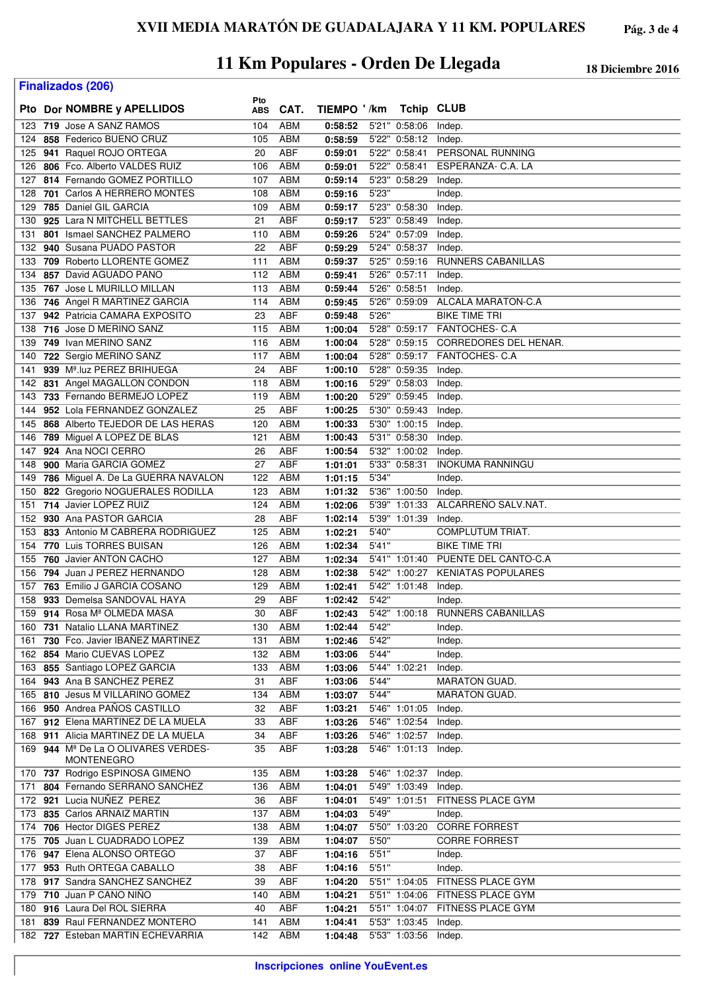**Finalizados (206)**

|      |                                     | Pto        |            |             |       |                      |                                     |
|------|-------------------------------------|------------|------------|-------------|-------|----------------------|-------------------------------------|
|      | Pto Dor NOMBRE y APELLIDOS          | <b>ABS</b> | CAT.       | TIEMPO '/km |       | <b>Tchip CLUB</b>    |                                     |
| 123  | 719 Jose A SANZ RAMOS               | 104        | <b>ABM</b> | 0:58:52     |       | 5'21" 0:58:06        | Indep.                              |
| 124  | 858 Federico BUENO CRUZ             | 105        | <b>ABM</b> | 0:58:59     |       | 5'22" 0:58:12        | Indep.                              |
| 125  | 941 Raquel ROJO ORTEGA              | 20         | <b>ABF</b> | 0:59:01     |       | 5'22" 0:58:41        | PERSONAL RUNNING                    |
| 126  | 806 Fco. Alberto VALDES RUIZ        | 106        | <b>ABM</b> | 0:59:01     |       | 5'22" 0:58:41        | ESPERANZA- C.A. LA                  |
| 127  | 814 Fernando GOMEZ PORTILLO         | 107        | ABM        | 0:59:14     |       | 5'23" 0:58:29        | Indep.                              |
| 128  | 701 Carlos A HERRERO MONTES         | 108        | <b>ABM</b> | 0:59:16     | 5'23" |                      | Indep.                              |
|      | 785 Daniel GIL GARCIA               | 109        | <b>ABM</b> | 0:59:17     |       | 5'23" 0:58:30        |                                     |
| 129  | 925 Lara N MITCHELL BETTLES         |            |            |             |       | 5'23" 0:58:49        | Indep.                              |
| 130  |                                     | 21         | ABF        | 0:59:17     |       |                      | Indep.                              |
| 131  | 801 Ismael SANCHEZ PALMERO          | 110        | ABM        | 0:59:26     |       | 5'24" 0:57:09        | Indep.                              |
| 132  | 940 Susana PUADO PASTOR             | 22         | <b>ABF</b> | 0:59:29     |       | 5'24" 0:58:37        | Indep.                              |
| 133  | 709 Roberto LLORENTE GOMEZ          | 111        | ABM        | 0:59:37     |       | 5'25" 0:59:16        | <b>RUNNERS CABANILLAS</b>           |
| 134  | 857 David AGUADO PANO               | 112        | ABM        | 0:59:41     |       | 5'26" 0:57:11        | Indep.                              |
| 135  | 767 Jose L MURILLO MILLAN           | 113        | ABM        | 0:59:44     |       | 5'26" 0:58:51        | Indep.                              |
| 136  | 746 Angel R MARTINEZ GARCIA         | 114        | ABM        | 0:59:45     |       | 5'26" 0:59:09        | ALCALA MARATON-C.A                  |
| 137  | 942 Patricia CAMARA EXPOSITO        | 23         | <b>ABF</b> | 0:59:48     | 5'26" |                      | <b>BIKE TIME TRI</b>                |
| 138  | 716 Jose D MERINO SANZ              | 115        | <b>ABM</b> | 1:00:04     |       |                      | 5'28" 0:59:17 FANTOCHES- C.A        |
| 139  | 749 Ivan MERINO SANZ                | 116        | <b>ABM</b> | 1:00:04     |       |                      | 5'28" 0:59:15 CORREDORES DEL HENAR. |
| 140  | 722 Sergio MERINO SANZ              | 117        | ABM        | 1:00:04     |       |                      | 5'28" 0:59:17 FANTOCHES- C.A        |
| 141  | 939 Mª.luz PEREZ BRIHUEGA           | 24         | <b>ABF</b> | 1:00:10     |       | 5'28" 0:59:35        | Indep.                              |
| 142  | 831 Angel MAGALLON CONDON           | 118        | ABM        | 1:00:16     |       | 5'29" 0:58:03        | Indep.                              |
| 143  | 733 Fernando BERMEJO LOPEZ          | 119        | ABM        | 1:00:20     |       | 5'29" 0:59:45        | Indep.                              |
| 144  | 952 Lola FERNANDEZ GONZALEZ         | 25         | <b>ABF</b> | 1:00:25     |       | 5'30" 0:59:43        | Indep.                              |
| 145  | 868 Alberto TEJEDOR DE LAS HERAS    | 120        | ABM        |             |       | 5'30" 1:00:15        |                                     |
|      |                                     |            |            | 1:00:33     |       |                      | Indep.                              |
| 146  | 789 Miguel A LOPEZ DE BLAS          | 121        | ABM        | 1:00:43     |       | 5'31" 0:58:30        | Indep.                              |
| 147  | 924 Ana NOCI CERRO                  | 26         | ABF        | 1:00:54     |       | 5'32" 1:00:02        | Indep.                              |
| 148  | 900 Maria GARCIA GOMEZ              | 27         | <b>ABF</b> | 1:01:01     |       | 5'33" 0:58:31        | <b>INOKUMA RANNINGU</b>             |
| 149  | 786 Miguel A. De La GUERRA NAVALON  | 122        | <b>ABM</b> | 1:01:15     | 5'34" |                      | Indep.                              |
| 150  | 822 Gregorio NOGUERALES RODILLA     | 123        | ABM        | 1:01:32     |       | 5'36" 1:00:50        | Indep.                              |
| 151  | 714 Javier LOPEZ RUIZ               | 124        | ABM        | 1:02:06     |       | 5'39" 1:01:33        | ALCARRENO SALV.NAT.                 |
| 152  | 930 Ana PASTOR GARCIA               | 28         | ABF        | 1:02:14     |       | 5'39" 1:01:39        | Indep.                              |
| 153  | 833 Antonio M CABRERA RODRIGUEZ     | 125        | ABM        | 1:02:21     | 5'40" |                      | COMPLUTUM TRIAT.                    |
| 154  | 770 Luis TORRES BUISAN              | 126        | <b>ABM</b> | 1:02:34     | 5'41" |                      | <b>BIKE TIME TRI</b>                |
| 155  | 760 Javier ANTON CACHO              | 127        | ABM        | 1:02:34     |       |                      | 5'41" 1:01:40 PUENTE DEL CANTO-C.A  |
| 156  | 794 Juan J PEREZ HERNANDO           | 128        | ABM        | 1:02:38     |       | 5'42" 1:00:27        | <b>KENIATAS POPULARES</b>           |
| 157  | 763 Emilio J GARCIA COSANO          | 129        | ABM        | 1:02:41     |       | 5'42" 1:01:48        | Indep.                              |
| 158  | 933 Demelsa SANDOVAL HAYA           | 29         | ABF        | 1:02:42     | 5'42" |                      | Indep.                              |
|      | 159 914 Rosa Mª OLMEDA MASA         | 30         | ABF        | 1:02:43     |       |                      | 5'42" 1:00:18 RUNNERS CABANILLAS    |
| 160. | 731 Natalio LLANA MARTINEZ          | 130        | <b>ABM</b> | 1:02:44     | 5'42" |                      | Indep.                              |
| 161  | 730 Fco. Javier IBANEZ MARTINEZ     | 131        | <b>ABM</b> | 1:02:46     | 5'42" |                      | Indep.                              |
|      | 162 854 Mario CUEVAS LOPEZ          | 132        | <b>ABM</b> | 1:03:06     | 5'44" |                      | Indep.                              |
|      | 163 855 Santiago LOPEZ GARCIA       | 133        | ABM        | 1:03:06     |       | 5'44" 1:02:21        | Indep.                              |
|      | 164 943 Ana B SANCHEZ PEREZ         |            | ABF        |             | 5'44" |                      | <b>MARATON GUAD.</b>                |
|      |                                     | 31         |            | 1:03:06     |       |                      |                                     |
|      | 165 810 Jesus M VILLARINO GOMEZ     | 134        | <b>ABM</b> | 1:03:07     | 5'44" |                      | <b>MARATON GUAD.</b>                |
|      | 166 950 Andrea PAÑOS CASTILLO       | 32         | <b>ABF</b> | 1:03:21     |       | 5'46" 1:01:05        | Indep.                              |
|      | 167 912 Elena MARTINEZ DE LA MUELA  | 33         | ABF        | 1:03:26     |       | 5'46" 1:02:54        | Indep.                              |
|      | 168 911 Alicia MARTINEZ DE LA MUELA | 34         | ABF        | 1:03:26     |       | 5'46" 1:02:57        | Indep.                              |
|      | 169 944 Mª De La O OLIVARES VERDES- | 35         | ABF        | 1:03:28     |       | 5'46" 1:01:13        | Indep.                              |
|      | <b>MONTENEGRO</b>                   |            |            |             |       |                      |                                     |
|      | 170 737 Rodrigo ESPINOSA GIMENO     | 135        | <b>ABM</b> | 1:03:28     |       | 5'46" 1:02:37        | Indep.                              |
| 171  | 804 Fernando SERRANO SANCHEZ        | 136        | <b>ABM</b> | 1:04:01     |       | 5'49" 1:03:49        | Indep.                              |
|      | 172 921 Lucia NUÑEZ PEREZ           | 36         | <b>ABF</b> | 1:04:01     |       | 5'49" 1:01:51        | FITNESS PLACE GYM                   |
|      | 173 835 Carlos ARNAIZ MARTIN        | 137        | ABM        | 1:04:03     | 5'49" |                      | Indep.                              |
| 174  | 706 Hector DIGES PEREZ              | 138        | ABM        | 1:04:07     |       | 5'50" 1:03:20        | <b>CORRE FORREST</b>                |
| 175  | 705 Juan L CUADRADO LOPEZ           | 139        | ABM        | 1:04:07     | 5'50" |                      | <b>CORRE FORREST</b>                |
| 176  | 947 Elena ALONSO ORTEGO             | 37         | ABF        | 1:04:16     | 5'51" |                      | Indep.                              |
|      | 177 953 Ruth ORTEGA CABALLO         | 38         | ABF        | 1:04:16     | 5'51" |                      | Indep.                              |
| 178  | 917 Sandra SANCHEZ SANCHEZ          | 39         | <b>ABF</b> | 1:04:20     |       | 5'51" 1:04:05        | FITNESS PLACE GYM                   |
|      | 179 710 Juan P CANO NIÑO            | 140        | ABM        | 1:04:21     |       |                      | 5'51" 1:04:06 FITNESS PLACE GYM     |
|      | 180 916 Laura Del ROL SIERRA        | 40         | <b>ABF</b> | 1:04:21     |       |                      | 5'51" 1:04:07 FITNESS PLACE GYM     |
| 181  | 839 Raul FERNANDEZ MONTERO          | 141        | ABM        | 1:04:41     |       | 5'53" 1:03:45 Indep. |                                     |
|      | 182 727 Esteban MARTIN ECHEVARRIA   | 142        | ABM        | 1:04:48     |       | 5'53" 1:03:56        | Indep.                              |
|      |                                     |            |            |             |       |                      |                                     |